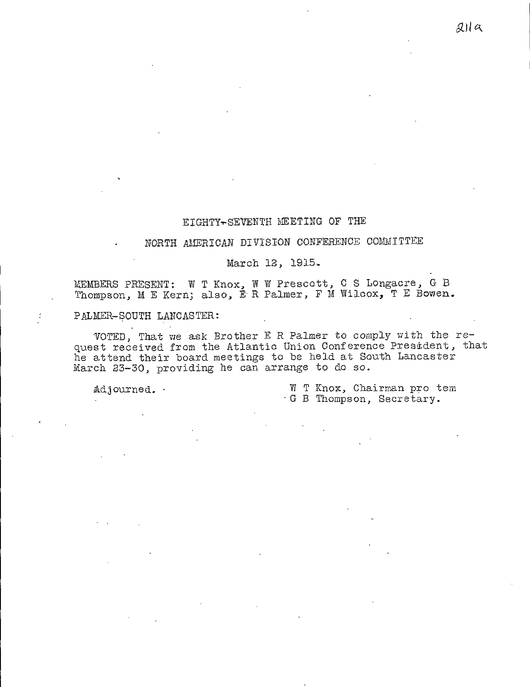# EIGHTY-SEVENTH MEETING OF THE

# NORTH AMERICAN DIVISION CONFERENCE COMMITTEE

### March 12, 1915.

MEMBERS PRESENT: W T Knox, W W Prescott, C S Longacre, G B Thompson, M E Kern; also, E- R Palmer, F M Wilcox, T E Bowen.

### PALMER-SOUTH LANCASTER:

VOTED, That we ask Brother E R Palmer to comply with the request received from the Atlantic Union Conference President, that he attend their board meetings to be held at South Lancaster March 23-30, providing he can arrange to do so.

Adjourned. • W T Knox, Chairman pro tem - G B Thompson, Secretary.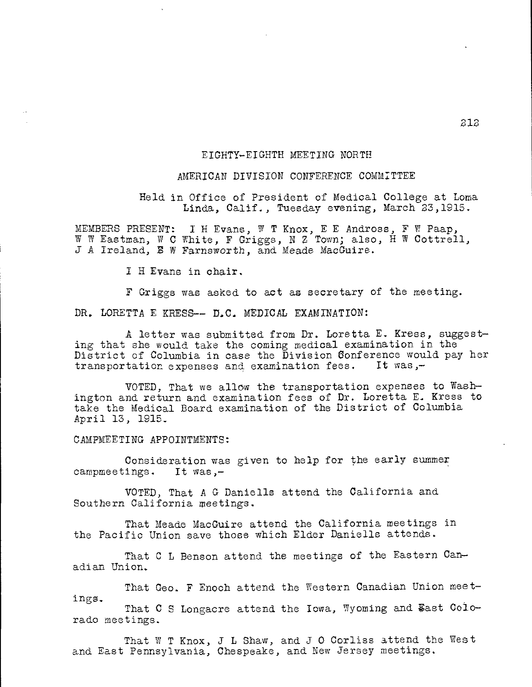## EIGHTY-EIGHTH MEETING NORTH

#### AMERICAN DIVISION CONFERENCE COMMITTEE

Held in Office of President of Medical College at Loma Linda, Calif., Tuesday evening, March 23,1915.

MEMBERS PRESENT: I H Evans, W T Knox, E E Andross, F W Paap, W W Eastman, W C White, F Griggs, N Z Town; also, H W Cottrell, J A Ireland, E W Farnsworth, and Meade MacGuire.

I H Evans in chair.

F Griggs was asked to act as secretary of the meeting.

DR. LORETTA E KRESS-- D.C. MEDICAL EXAMINATION:

A letter was submitted from Dr. Loretta E. Kress, suggesting that she would take the coming medical examination in the District of Columbia in case the Division Conference would pay her transportation expenses and examination fees. It was,transportation expenses and examination fees.

VOTED, That we allow the transportation expenses to Washington and return and examination fees of Dr. Loretta E. Kress to take the Medical Board examination of the District of Columbia April 13, 1915\_

CAMPMEETING APPOINTMENTS:

rado meetings.

Consideration was given to help for the early summer campmeetings. It was,-

VOTED, That A G Daniells attend the California and Southern California meetings.

That Meade MacGuire attend the California meetings in the Pacific Union save those which Elder Daniells attends.

That C L Benson attend the meetings of the Eastern Canadian Union.

That Geo. F Enoch attend the Western Canadian Union meetings. That C S Longacre attend the Iowa, Wyoming and East Colo-

That W T Knox, J L Shaw, and J O Corliss attend the West and East Pennsylvania, Chespeake, and New Jersey meetings.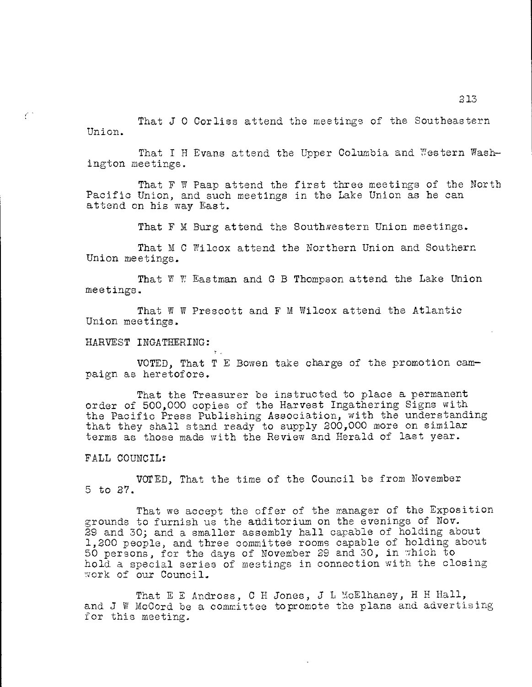That J O Corliss attend the meetings of the Southeastern Union.

That I H Evans attend the Upper Columbia and Western Wash ington meetings.

That F W Paap attend the first three meetings of the North Pacific Union, and such meetings in the Lake Union as he can attend on his way East.

That F M Burg attend the Southwestern Union meetings.

That M C Wilcox attend the Northern Union and Southern Union meetings.

That W W Eastman and G B Thompson attend the Lake Union meetings.

That W W Prescott and F M Wilcox attend the Atlantic Union meetings.

HARVEST INGATHERING:

VOTED, That T E Bowen take charge of the promotion cam paign as heretofore.

That the Treasurer be instructed to place a permanent order of 500,000 copies of the Harvest Ingathering Signs with the Pacific Press Publishing Association, with the understanding that they shall stand ready to supply 200,000 more on similar terms as those made with the Review and Herald of last year.

FALL COUNCIL:

Č.

VOTED, That the time of the Council be from November 5 to 27.

That we accept the offer of the manager of the Exposition grounds to furnish us the additorium on the evenings of Nov. 29 and 30; and a smaller assembly hall capable of holding about 1,200 people, and three committee rooms capable of holding about 50 persons, for the days of November 29 and 30, in which to hold a special series of meetings in connection with the closing work of our Council.

That E E Andross, C H Jones, J L McElhaney, H H Hall, and J W McCord be a committee topromote the plans and advertising for this meeting.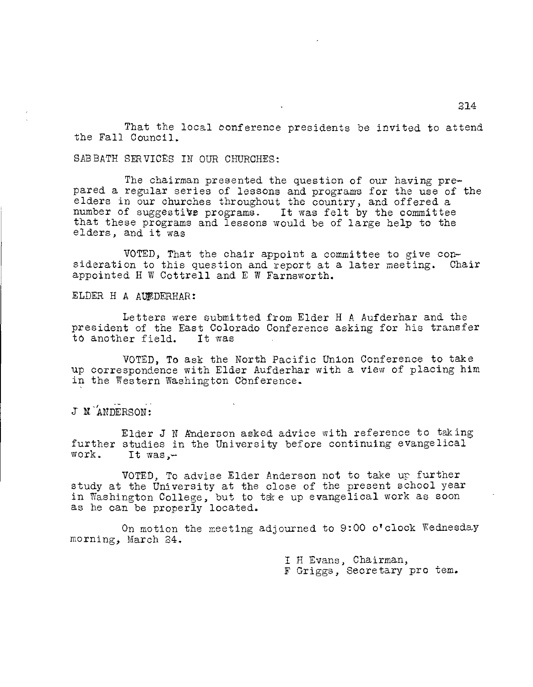That the local conference presidents be invited to attend the Fall Council.

SABBATH SERVICES IN OUR CHURCHES:

The chairman presented the question of our having prepared a regular series of lessons and programs for the use of the elders in our churches throughout the country, and offered a number of suggestive programs. It was felt by the committee that these programs and lessons would be of large help to the elders, and it was

VOTED, That the chair appoint a committee to give consideration to this question and report at a later meeting. Chair appointed H W Cottrell and E W Farnsworth.

ELDER H A AUFDERHAR:

Letters were submitted from Elder H A Aufderhar and the president of the East Colorado Conference asking for his transfer to another field. It was

VOTED, To ask the North Pacific Union Conference to take up correspondence with Elder Aufderhar with a view of placing him in the Western Washington Conference.

J NANDERSON:

Elder J N Anderson asked advice with reference to taking further studies in the University before continuing evangelical<br>work. It was.-It was, $-$ 

VOTED, To advise Elder Anderson not to take up further study at the University at the close of the present school year in Washington College, but to take up evangelical work as soon as he can be properly located.

On motion the meeting adjourned to 9:00 o'clock Wednesday morning, March 24.

I H Evans, Chairman,

F Griggs, Secretary pro tem.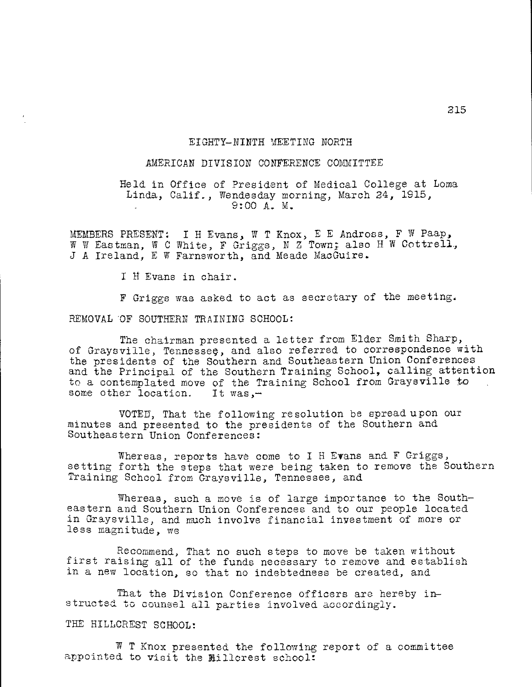### EIGHTY-NINTH MEETING NORTH

# AMERICAN DIVISION CONFERENCE COMMITTEE

Held in Office of President of Medical College at Loma Linda, Calif., Wendesday morning, March 24, 1915, 9:00 A. M.

MEMBERS PRESENT: I H Evans, W T Knox, E E Andress, F W Paap, W W Eastman, W C White, F Griggs, N Z Town; also H W Cottrell, J A Ireland, E W Farnsworth, and Meade MacGuire.

I H Evans in chair.

F Griggs was asked to act as secretary of the meeting.

REMOVAL OF SOUTHERN TRAINING SCHOOL:

The chairman presented a letter from Elder Smith Sharp, of Graysville, Tennessee, and also referred to correspondence with the presidents of the Southern and Southeastern Union Conferences and the Principal of the Southern Training School, calling attention to a contemplated move of the Training School from Graysville to some other location. It was,some other location.

VOTED, That the following resolution be spread upon our minutes and presented to the presidents of the Southern and Southeastern Union Conferences:

Whereas, reports have come to I H Evans and F Griggs, setting forth the steps that were being taken to remove the Southern Training School from Graysville, Tennessee, and

Whereas, such a move is of large importance to the Southeastern and Southern Union Conferences and to our people located in Graysville, and much involve financial investment of more or less magnitude, we

Recommend, That no such steps to move be taken without first raising all of the funds necessary to remove and establish in a new location, so that no indebtedness be created, and

That the Division Conference officers are hereby instructed to counsel all parties involved accordingly.

THE HILLCREST SCHOOL:

W T Knox presented the following report of a committee appointed to visit the Millcrest school: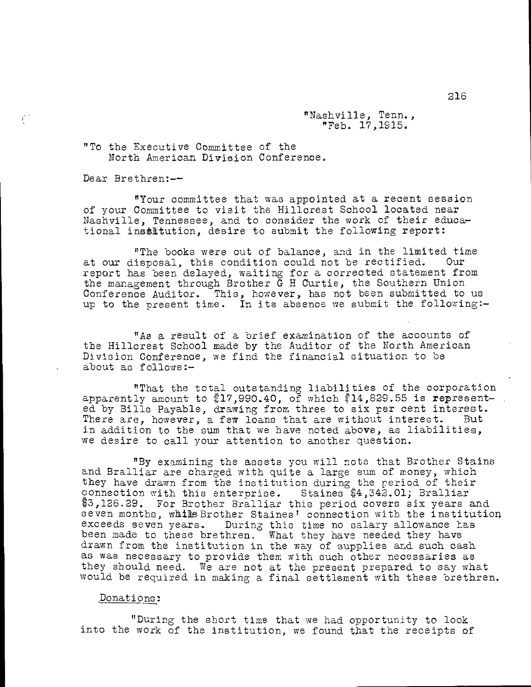"Nashville, Tenn., "Feb. 17,1915.

"To the Executive Committee of the North American Division Conference.

Dear Brethren:--

 $\epsilon^{\pm}$ 

"Your committee that was appointed at a recent session of your Committee to visit the Hillcrest School located near Nashville, Tennessee, and to consider the work of their educational institution, desire to submit the following report:

"The books were out of balance, and in the limited time at our disposal, this condition could not be rectified. Our report has been delayed, waiting for a corrected statement from the management through Brother G H Curtis, the Southern Union Conference Auditor. This, however, has not been submitted to us up to the present time. In its absence we submit the following:-

"As a result of a brief examination of the accounts of the Hillcrest School made by the Auditor of the North American Division Conference, we find the financial situation to be about as follows:-

"That the total outstanding liabilities of the corporation apparently amount to  $$17,990.40$ , of which  $\$14$ ,829.55 is represented by Bills Payable, drawing from three to six per cent interest.<br>There are, however, a few loans that are without interest. But There are, however, a few loans that are without interest. in addition to the sum that we have noted above, as liabilities, we desire to call your attention to another question.

"By examining the assets you will note that Brother Stains and Bralliar are charged with quite a large sum of money, which they have drawn from the institution during the period of their connection with this enterprise. Staines \$4,342.01; Bralliar \$3,126.29. For Brother Bralliar this period covers six years and seven months, while Brother Staines' connection with the institution exceeds seven years. During this time no salary allowance has been made to these brethren. What they have needed they have drawn from the institution in the way of supplies and such cash as was necessary to provide them with such other necessaries as they should need. We are not at the present prepared to say what would be required in making a final settlement with these brethren.

### Donations:

"During the short time that we had opportunity to look into the work of the institution, we found that the receipts of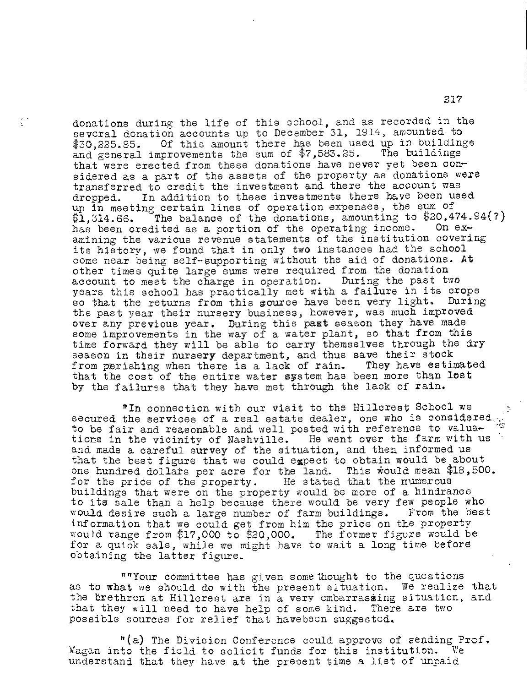donations during the life of this school, and as recorded in the several donation accounts up to December 31, 1914, amounted to \$30,225.85. Of this amount there has been used up in buildings<br>and general improvements the sum of \$7,583.25. The buildings and general improvements the sum of  $$7,583.25.$ that were erected from these donations have never yet been considered as a part of the assets of the property as donations were transferred to credit the investment and there the account was dropped. In addition to these investments there have been used up in meeting certain lines of operation expenses, the sum of  $$1,314.66$ . The balance of the donations, amounting to  $$20,474.94(?)$ has been credited as a portion of the operating income. On examining the various revenue statements of the institution covering its history, we found that in only two instances had the school come near being self-supporting without the aid of donations. At other times quite large sums were required from the donation<br>account to meet the charge in operation. During the past two account to meet the charge in operation. years this school has practically met with a failure in its crops so that the returns from this source have been very light. During the past year their nursery business, however, was much improved over any previous year. During this past season they have made some improvements in the way of a water plant, so that from this time forward they will be able to carry themselves through the dry season in their nursery department, and thus save their stock<br>from perishing when there is a lack of rain. They have estimated from perishing when there is a lack of rain. that the cost of the entire water system has been more than lost by the failures that they have met through the lack of rain.

 $\mathbb{C}^*$ 

"In connection with our visit to the Hillcrest School we secured the services of a real estate dealer, one who is considered. to be fair and reasonable and well posted with reference to valuations in the vicinity of Nashville. He went over the farm with us and made a careful survey of the situation, and then informed us that the best figure that we could expect to obtain would be about one hundred dollars per acre for the land. This would mean \$18,500.<br>for the price of the property. He stated that the numerous for the price of the property. buildings that were on the property would be more of a hindrance to its sale than a help because there would be very few people who would desire such a large number of farm buildings. From the best information that we could get from him the price on the property would range from \$17,000 to \$20,000. The former figure would be for a quick sale, while we might have to wait a long time before obtaining the latter figure.

""Your committee has given some thought to the questions as to what we should do with the present situation, We realize that the brethren at Hillcrest are in a very embarrassing situation, and that they will need to have help of some kind. There are two possible sources for relief that havebeen suggested.

"(a) The Division Conference could approve of sending Prof. Magan into the field to solicit funds for this institution. understand that they have at the present time a list of unpaid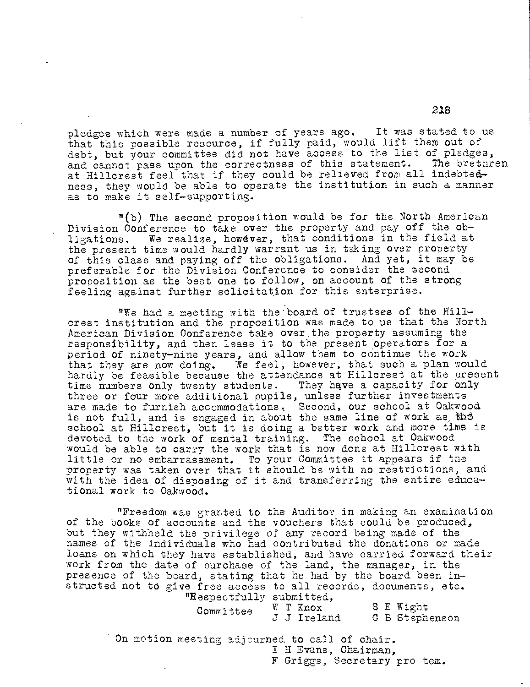pledges which were made a number of years ago. It was stated to us that this possible resource, if fully paid, would lift them out of debt, but your committee did not have access to the list of pledges, and cannot pass upon the correctness of this statement. at Hillcrest feel that if they could be relieved from all indebtedness, they would be able to operate the institution in such a manner as to make it self-supporting.

"(b) The second proposition would be for the North American Division Conference to take over the property and pay off the obligations. We realize, however, that conditions in the field at the present time would hardly warrant us in taking over property of this class and paying off the obligations. And yet, it may be preferable for the Division Conference to consider the second proposition as the best one to follow, on account of the strong feeling against further solicitation for this enterprise.

"We had a meeting with the board of trustees of the Hillcrest institution and the proposition was made to us that the North American Division Conference take over.the property assuming the responsibility, and then lease it to the present operators for a period of ninety-nine years, and allow them to continue the work that they are now doing. We feel, however, that such a plan would hardly be feasible because the attendance at Hillcrest at the present time numbers only twenty students. They have a capacity for only three or four more additional pupils, unless further investments are made to furnish accommodations. Second, our school at Oakwood is not full, and is engaged in about the same line of work as the school at Hillcrest, but it is doing a better work and more time is devoted to the work of mental training. The school at Oakwood would be able to carry the work that is now done at Hillcrest with little or no embarrassment. To your Committee it appears if the property was taken over that it should be with no restrictions, and with the idea of disposing of it and transferring the entire educational work to Oakwood.

"Freedom was granted to the Auditor in making an examination of the books of accounts and the vouchers that could be produced, but they withheld the privilege of any record being made of the names of the individuals who had contributed the donations or made loans on which they have established, and have carried forward their work from the date of purchase of the land, the manager, in the presence of the board, stating that he had by the board been instructed not td give free access to all records, documents, etc. "Respectfully submitted,

| Committee |  | $W T$ Knox  |  | S E Wight      |
|-----------|--|-------------|--|----------------|
|           |  | J J Ireland |  | C B Stephenson |

On motion meeting adjourned to call of chair. I H Evans, Chairman, F Griggs, Secretary pro tem.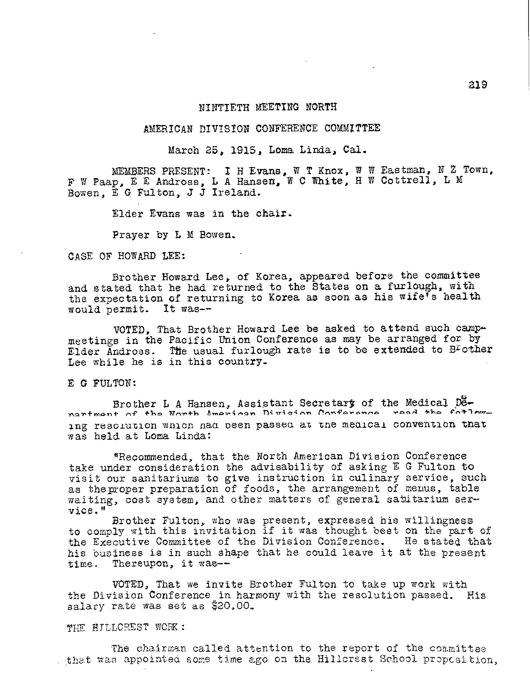### NINTIETH MEETING NORTH

# AMERICAN DIVISION CONFERENCE COMMITTEE

March 25, 1915, Loma Linda, Cal.

MEMBERS PRESENT: I H Evans, W T Knox, W W Eastman, N Z Town, F W Paap, E E Andross, L A Hansen, W C White, H W Cottrell, L M Bowen, E G Fulton, J J Ireland.

Elder Evans was in the chair.

Prayer by L M Bowen.

CASE OF HOWARD LEE:

Brother Howard Lee, of Korea, appeared before the committee and stated that he had returned to the States on a furlough, with the expectation of returning to Korea as soon as his wife's health would permit. It was--

VOTED, That Brother Howard Lee be asked to attend such camp meetings in the Pacific Union Conference as may be arranged for by Elder Andross. The usual furlough rate is to be extended to B<sup>r</sup>other Lee while he is in this country.

E G FULTON:

Brother L A Hansen, Assistant Secretary of the Medical Denartmant of the North Imprison Division Conference road ing resolution wnicn naa peen passea at tne medical convention tnat was held at Loma Linda:

"Recommended, that the North American Division Conference take under consideration the advisability of asking E G Fulton to visit cur sanitariums to give instruction in culinary service, such as theproper preparation of foods, the arrangement of menus, table waiting, cost system, and other matters of general satitarium ser vice."

Brother Fulton, who was present, expressed his willingness to comply with this invitation if it was thought beet on the part of the Executive Committee of the Division Conference. He stated that his business is in such shape that he could leave it at the present time. Thereupon, it was--

VOTED, That we invite Brother Fulton to take up work with the Division Conference in harmony with the resolution passed. His salary rate was set as  $$20,00$ .

THE FULLOREST WORK:

The chairman called attention to the report of the committee that was appointed some time ago on the Hillcrest School propcsition,

ax9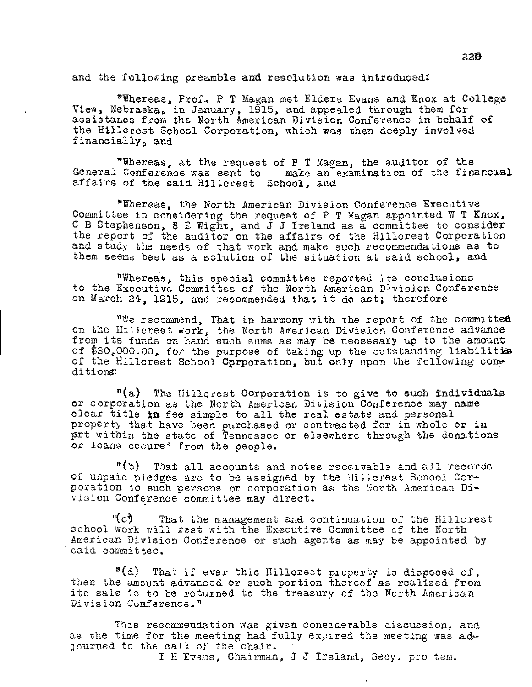and the following preamble and resolution was introduced:

 $\hat{\epsilon}^{\dagger}$ 

"Whereas, Prof. P T Magan met Elders Evans and Knox at College View, Nebraska. in January, 1915, and appealed through them for assistance from the North American Division Conference in behalf of the Hillcrest School Corporation, which was then deeply involved financially, and

"Whereas, at the request of P T Magan, the auditor of the General Conference was sent to . make an examination of the financial affairs of the said Hillcrest School, and

"Whereas, the North American Division Conference Executive Committee in considering the request of P T Magan appointed W T Knox, C B Stephenson, S E Wight, and J J Ireland as a committee to consider the report of the auditor on the affairs of the Hillcrest Corporation and study the needs of that work and make such recommendations as to them seems best as a solution of the situation at said school, and

"Whereas, this special committee reported its conclusions to the Executive Committee of the North American Division Conference on March 24, 1915, and recommended that it do act; therefore

"We recommend, That in harmony with the report of the committee on the Hillcrest work, the North American Division Conference advance from its funds on hand such sums as may be necessary up to the amount of  $20,000.00$ , for the purpose of taking up the outstanding liabilitime of the Hillcrest School Corporation, but only upon the following conditions:

"(a) The Hillcrest Corporation is to give to such individuals or corporation as the North American Division Conference may name clear title in fee simple to all the real estate and personal property that have been purchased or contracted for in whole or in prt within the state of Tennessee or elsewhere through the donations or loans secure' from the people.

"(b) That all accounts and notes receivable and all records of unpaid pledges are to be assigned by the Hillcrest School Corporation to such persons or corporation as the North American Division Conference committee may direct.

"(c) That the management and continuation of the Hillcrest school work will rest with the Executive Committee of the North American Division Conference or such agents as may be appointed by said committee.

"(d) That if ever this Hillcrest property is disposed of, then the amount advanced or such portion thereof as realized from its sale is to be returned to the treasury of the North American Division Conference."

This recommendation was given considerable discussion, and as the time for the meeting had fully expired the meeting was adjourned to the call of the chair.

I H Evans, Chairman, J J Ireland, Secy. pro tem.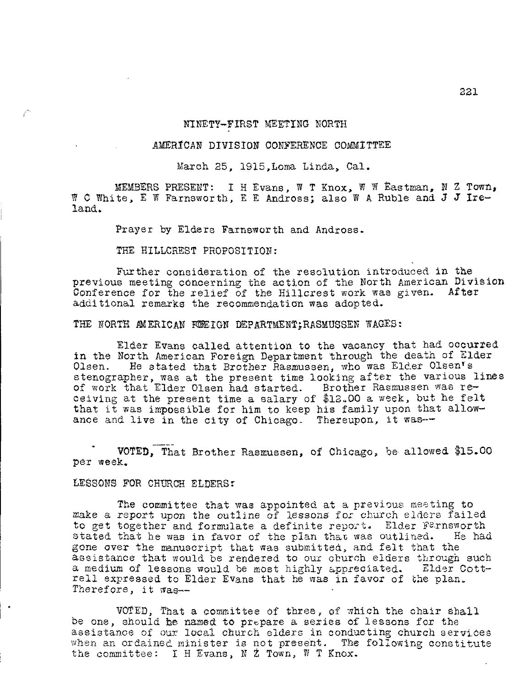### NINETY-FIRST MEETING NORTH

#### AMERICAN DIVISION CONFERENCE COMMITTEE

March 25, 1915,Loma Linda, Cal.

MEMBERS PRESENT: I H Evans, W T Knox, W W Eastman, N Z Town, W C White, E W Farnsworth, E E Andross; also W A Ruble and J J Ireland.

Prayer by Elders Farnsworth and Andross.

THE HILLCREST PROPOSITION:

Further consideration of the resolution introduced in the previous meeting concerning the action of the North American Division Conference for the relief of the Hillcrest work was given. After additional remarks the recommendation was adopted.

THE NORTH AMERICAN FOREIGN DEPARTMENT; RASMUSSEN WAGES:

Elder Evans called attention to the vacancy that had occurred in the North American Foreign Department through the death of Elder Olsen. He stated that Brother Rasmussen, who was Elder Olsen's stenographer, was at the present time looking after the various lines of work that Elder Olsen had. started. Brother Rasmussen was receiving at the present time a salary of \$12.00 a week, but he felt that it was impossible for him to keep his family upon that allowance and live in the city of Chicago. Thereupon, it was--

VOTED, That Brother Rasmussen, of Chicago, be allowed \$15.00 per week.

LESSONS FOR CHURCH ELDERS:

The committee that was appointed at a previous meeting to make a report upon the outline of lessons for church elders failed to get together and formulate a definite report. Elder Farnsworth stated that he was in favor of the plan that was outlined. He had gone over the manuscript that was submitted, and felt that the assistance that would be rendered to our church elders through such a medium of lessons would be most highly appreciated. Elder Cottrell expressed to Elder Evans that he was in favor of the plan. Therefore, it was--

VOTED, That a committee of three, of which the chair shall be one, should he named to prepare a series of lessons for the assistance of our local church elders in conducting church services when an ordained minister is not present. The following constitute the committee: I H Evans, N  $Z$  Town, W T Knox.